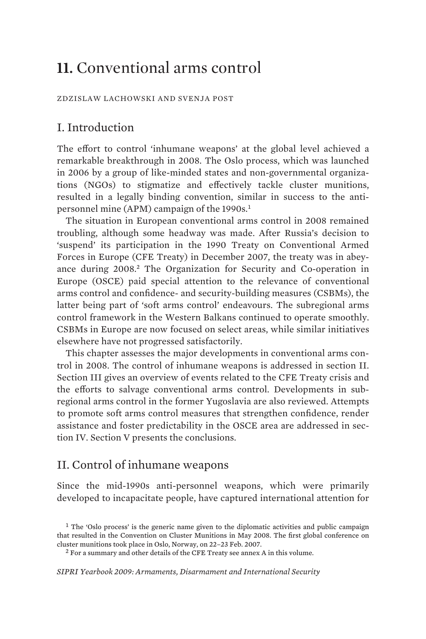# **11.** Conventional arms control

ZDZISLAW LACHOWSKI AND SVENJA POST

# I. Introduction

The effort to control 'inhumane weapons' at the global level achieved a remarkable breakthrough in 2008. The Oslo process, which was launched in 2006 by a group of like-minded states and non-governmental organizations (NGOs) to stigmatize and effectively tackle cluster munitions, resulted in a legally binding convention, similar in success to the antipersonnel mine (APM) campaign of the 1990s.<sup>1</sup>

The situation in European conventional arms control in 2008 remained troubling, although some headway was made. After Russia's decision to 'suspend' its participation in the 1990 Treaty on Conventional Armed Forces in Europe (CFE Treaty) in December 2007, the treaty was in abeyance during 2008.<sup>2</sup> The Organization for Security and Co-operation in Europe (OSCE) paid special attention to the relevance of conventional arms control and confidence- and security-building measures (CSBMs), the latter being part of 'soft arms control' endeavours. The subregional arms control framework in the Western Balkans continued to operate smoothly. CSBMs in Europe are now focused on select areas, while similar initiatives elsewhere have not progressed satisfactorily.

This chapter assesses the major developments in conventional arms control in 2008. The control of inhumane weapons is addressed in section II. Section III gives an overview of events related to the CFE Treaty crisis and the efforts to salvage conventional arms control. Developments in subregional arms control in the former Yugoslavia are also reviewed. Attempts to promote soft arms control measures that strengthen confidence, render assistance and foster predictability in the OSCE area are addressed in section IV. Section V presents the conclusions.

# II. Control of inhumane weapons

Since the mid-1990s anti-personnel weapons, which were primarily developed to incapacitate people, have captured international attention for

2 For a summary and other details of the CFE Treaty see annex A in this volume.

*SIPRI Yearbook 2009: Armaments, Disarmament and International Security* 

<sup>&</sup>lt;sup>1</sup> The 'Oslo process' is the generic name given to the diplomatic activities and public campaign that resulted in the Convention on Cluster Munitions in May 2008. The first global conference on cluster munitions took place in Oslo, Norway, on 22–23 Feb. 2007.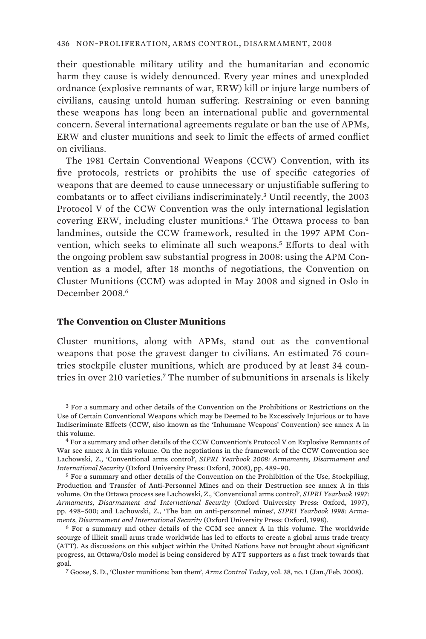their questionable military utility and the humanitarian and economic harm they cause is widely denounced. Every year mines and unexploded ordnance (explosive remnants of war, ERW) kill or injure large numbers of civilians, causing untold human suffering. Restraining or even banning these weapons has long been an international public and governmental concern. Several international agreements regulate or ban the use of APMs, ERW and cluster munitions and seek to limit the effects of armed conflict on civilians.

The 1981 Certain Conventional Weapons (CCW) Convention, with its five protocols, restricts or prohibits the use of specific categories of weapons that are deemed to cause unnecessary or unjustifiable suffering to combatants or to affect civilians indiscriminately.<sup>3</sup> Until recently, the 2003 Protocol V of the CCW Convention was the only international legislation covering ERW, including cluster munitions.<sup>4</sup> The Ottawa process to ban landmines, outside the CCW framework, resulted in the 1997 APM Convention, which seeks to eliminate all such weapons.<sup>5</sup> Efforts to deal with the ongoing problem saw substantial progress in 2008: using the APM Convention as a model, after 18 months of negotiations, the Convention on Cluster Munitions (CCM) was adopted in May 2008 and signed in Oslo in December 2008.<sup>6</sup>

#### **The Convention on Cluster Munitions**

Cluster munitions, along with APMs, stand out as the conventional weapons that pose the gravest danger to civilians. An estimated 76 countries stockpile cluster munitions, which are produced by at least 34 countries in over 210 varieties.<sup>7</sup> The number of submunitions in arsenals is likely

<sup>3</sup> For a summary and other details of the Convention on the Prohibitions or Restrictions on the Use of Certain Conventional Weapons which may be Deemed to be Excessively Injurious or to have Indiscriminate Effects (CCW, also known as the 'Inhumane Weapons' Convention) see annex A in this volume.

<sup>4</sup> For a summary and other details of the CCW Convention's Protocol V on Explosive Remnants of War see annex A in this volume. On the negotiations in the framework of the CCW Convention see Lachowski, Z., 'Conventional arms control', *SIPRI Yearbook 2008: Armaments, Disarmament and International Security* (Oxford University Press: Oxford, 2008), pp. 489–90.

<sup>5</sup> For a summary and other details of the Convention on the Prohibition of the Use, Stockpiling, Production and Transfer of Anti-Personnel Mines and on their Destruction see annex A in this volume. On the Ottawa process see Lachowski, Z., 'Conventional arms control', *SIPRI Yearbook 1997: Armaments, Disarmament and International Security* (Oxford University Press: Oxford, 1997), pp. 498–500; and Lachowski, Z., 'The ban on anti-personnel mines', *SIPRI Yearbook 1998: Armaments, Disarmament and International Security* (Oxford University Press: Oxford, 1998).

<sup>6</sup> For a summary and other details of the CCM see annex A in this volume. The worldwide scourge of illicit small arms trade worldwide has led to efforts to create a global arms trade treaty (ATT). As discussions on this subject within the United Nations have not brought about significant progress, an Ottawa/Oslo model is being considered by ATT supporters as a fast track towards that goal.

<sup>7</sup> Goose, S. D., 'Cluster munitions: ban them', *Arms Control Today*, vol. 38, no. 1 (Jan./Feb. 2008).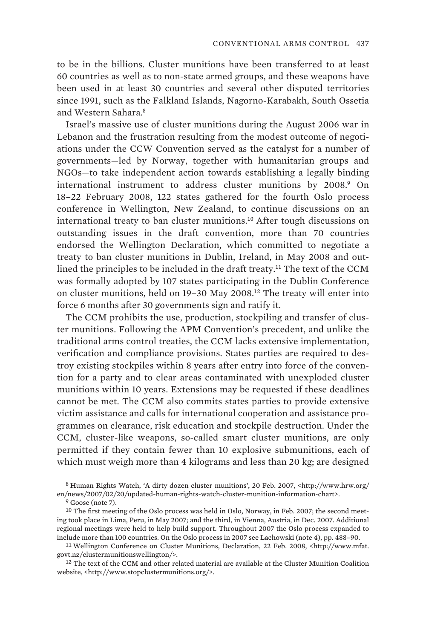to be in the billions. Cluster munitions have been transferred to at least 60 countries as well as to non-state armed groups, and these weapons have been used in at least 30 countries and several other disputed territories since 1991, such as the Falkland Islands, Nagorno-Karabakh, South Ossetia and Western Sahara.<sup>8</sup>

Israel's massive use of cluster munitions during the August 2006 war in Lebanon and the frustration resulting from the modest outcome of negotiations under the CCW Convention served as the catalyst for a number of governments—led by Norway, together with humanitarian groups and NGOs—to take independent action towards establishing a legally binding international instrument to address cluster munitions by 2008.<sup>9</sup> On 18–22 February 2008, 122 states gathered for the fourth Oslo process conference in Wellington, New Zealand, to continue discussions on an international treaty to ban cluster munitions.<sup>10</sup> After tough discussions on outstanding issues in the draft convention, more than 70 countries endorsed the Wellington Declaration, which committed to negotiate a treaty to ban cluster munitions in Dublin, Ireland, in May 2008 and outlined the principles to be included in the draft treaty.<sup>11</sup> The text of the CCM was formally adopted by 107 states participating in the Dublin Conference on cluster munitions, held on 19–30 May 2008.<sup>12</sup> The treaty will enter into force 6 months after 30 governments sign and ratify it.

The CCM prohibits the use, production, stockpiling and transfer of cluster munitions. Following the APM Convention's precedent, and unlike the traditional arms control treaties, the CCM lacks extensive implementation, verification and compliance provisions. States parties are required to destroy existing stockpiles within 8 years after entry into force of the convention for a party and to clear areas contaminated with unexploded cluster munitions within 10 years. Extensions may be requested if these deadlines cannot be met. The CCM also commits states parties to provide extensive victim assistance and calls for international cooperation and assistance programmes on clearance, risk education and stockpile destruction. Under the CCM, cluster-like weapons, so-called smart cluster munitions, are only permitted if they contain fewer than 10 explosive submunitions, each of which must weigh more than 4 kilograms and less than 20 kg; are designed

<sup>&</sup>lt;sup>8</sup> Human Rights Watch, 'A dirty dozen cluster munitions', 20 Feb. 2007, <http://www.hrw.org/ en/news/2007/02/20/updated-human-rights-watch-cluster-munition-information-chart>.

 $9$  Goose (note 7).

<sup>&</sup>lt;sup>10</sup> The first meeting of the Oslo process was held in Oslo, Norway, in Feb. 2007; the second meeting took place in Lima, Peru, in May 2007; and the third, in Vienna, Austria, in Dec. 2007. Additional regional meetings were held to help build support. Throughout 2007 the Oslo process expanded to include more than 100 countries. On the Oslo process in 2007 see Lachowski (note 4), pp. 488–90.

<sup>11</sup> Wellington Conference on Cluster Munitions, Declaration, 22 Feb. 2008, <http://www.mfat. govt.nz/clustermunitionswellington/>.

<sup>&</sup>lt;sup>12</sup> The text of the CCM and other related material are available at the Cluster Munition Coalition website, <http://www.stopclustermunitions.org/>.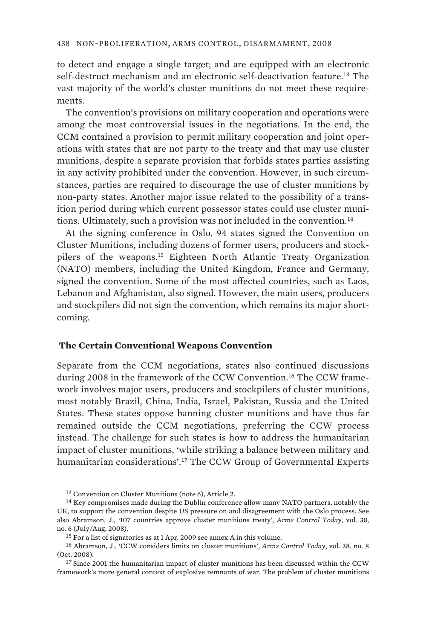to detect and engage a single target; and are equipped with an electronic self-destruct mechanism and an electronic self-deactivation feature.<sup>13</sup> The vast majority of the world's cluster munitions do not meet these requirements.

The convention's provisions on military cooperation and operations were among the most controversial issues in the negotiations. In the end, the CCM contained a provision to permit military cooperation and joint operations with states that are not party to the treaty and that may use cluster munitions, despite a separate provision that forbids states parties assisting in any activity prohibited under the convention. However, in such circumstances, parties are required to discourage the use of cluster munitions by non-party states. Another major issue related to the possibility of a transition period during which current possessor states could use cluster munitions. Ultimately, such a provision was not included in the convention.<sup>14</sup>

At the signing conference in Oslo, 94 states signed the Convention on Cluster Munitions, including dozens of former users, producers and stockpilers of the weapons.<sup>15</sup> Eighteen North Atlantic Treaty Organization (NATO) members, including the United Kingdom, France and Germany, signed the convention. Some of the most affected countries, such as Laos, Lebanon and Afghanistan, also signed. However, the main users, producers and stockpilers did not sign the convention, which remains its major shortcoming.

#### **The Certain Conventional Weapons Convention**

Separate from the CCM negotiations, states also continued discussions during 2008 in the framework of the CCW Convention.<sup>16</sup> The CCW framework involves major users, producers and stockpilers of cluster munitions, most notably Brazil, China, India, Israel, Pakistan, Russia and the United States. These states oppose banning cluster munitions and have thus far remained outside the CCM negotiations, preferring the CCW process instead. The challenge for such states is how to address the humanitarian impact of cluster munitions, 'while striking a balance between military and humanitarian considerations'.<sup>17</sup> The CCW Group of Governmental Experts

<sup>13</sup> Convention on Cluster Munitions (note 6), Article 2.

<sup>&</sup>lt;sup>14</sup> Key compromises made during the Dublin conference allow many NATO partners, notably the UK, to support the convention despite US pressure on and disagreement with the Oslo process. See also Abramson, J., '107 countries approve cluster munitions treaty', *Arms Control Today*, vol. 38, no. 6 (July/Aug. 2008).

<sup>15</sup> For a list of signatories as at 1 Apr. 2009 see annex A in this volume.

<sup>16</sup> Abramson, J., 'CCW considers limits on cluster munitions', *Arms Control Today*, vol. 38, no. 8 (Oct. 2008).

<sup>&</sup>lt;sup>17</sup> Since 2001 the humanitarian impact of cluster munitions has been discussed within the CCW framework's more general context of explosive remnants of war. The problem of cluster munitions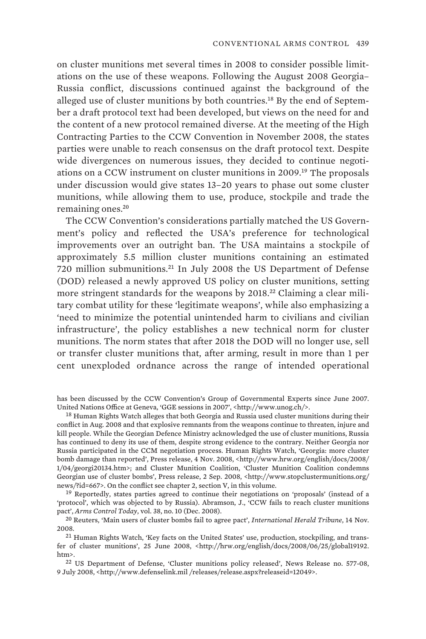on cluster munitions met several times in 2008 to consider possible limitations on the use of these weapons. Following the August 2008 Georgia– Russia conflict, discussions continued against the background of the alleged use of cluster munitions by both countries.<sup>18</sup> By the end of September a draft protocol text had been developed, but views on the need for and the content of a new protocol remained diverse. At the meeting of the High Contracting Parties to the CCW Convention in November 2008, the states parties were unable to reach consensus on the draft protocol text. Despite wide divergences on numerous issues, they decided to continue negotiations on a CCW instrument on cluster munitions in 2009.<sup>19</sup> The proposals under discussion would give states 13–20 years to phase out some cluster munitions, while allowing them to use, produce, stockpile and trade the remaining ones.<sup>20</sup>

The CCW Convention's considerations partially matched the US Government's policy and reflected the USA's preference for technological improvements over an outright ban. The USA maintains a stockpile of approximately 5.5 million cluster munitions containing an estimated 720 million submunitions.<sup>21</sup> In July 2008 the US Department of Defense (DOD) released a newly approved US policy on cluster munitions, setting more stringent standards for the weapons by 2018.<sup>22</sup> Claiming a clear military combat utility for these 'legitimate weapons', while also emphasizing a 'need to minimize the potential unintended harm to civilians and civilian infrastructure', the policy establishes a new technical norm for cluster munitions. The norm states that after 2018 the DOD will no longer use, sell or transfer cluster munitions that, after arming, result in more than 1 per cent unexploded ordnance across the range of intended operational

has been discussed by the CCW Convention's Group of Governmental Experts since June 2007. United Nations Office at Geneva, 'GGE sessions in 2007', <http://www.unog.ch/>.

<sup>&</sup>lt;sup>18</sup> Human Rights Watch alleges that both Georgia and Russia used cluster munitions during their conflict in Aug. 2008 and that explosive remnants from the weapons continue to threaten, injure and kill people. While the Georgian Defence Ministry acknowledged the use of cluster munitions, Russia has continued to deny its use of them, despite strong evidence to the contrary. Neither Georgia nor Russia participated in the CCM negotiation process. Human Rights Watch, 'Georgia: more cluster bomb damage than reported', Press release, 4 Nov. 2008, <http://www.hrw.org/english/docs/2008/ 1/04/georgi20134.htm>; and Cluster Munition Coalition, 'Cluster Munition Coalition condemns Georgian use of cluster bombs', Press release, 2 Sep. 2008, <http://www.stopclustermunitions.org/ news/?id=667>. On the conflict see chapter 2, section V, in this volume.

<sup>19</sup> Reportedly, states parties agreed to continue their negotiations on 'proposals' (instead of a 'protocol', which was objected to by Russia). Abramson, J., 'CCW fails to reach cluster munitions pact', *Arms Control Today*, vol. 38, no. 10 (Dec. 2008).

<sup>20</sup> Reuters, 'Main users of cluster bombs fail to agree pact', *International Herald Tribune*, 14 Nov. 2008.

<sup>21</sup> Human Rights Watch, 'Key facts on the United States' use, production, stockpiling, and transfer of cluster munitions', 25 June 2008, <http://hrw.org/english/docs/2008/06/25/global19192. htm>.

<sup>22</sup> US Department of Defense, 'Cluster munitions policy released', News Release no. 577-08, 9 July 2008, <http://www.defenselink.mil /releases/release.aspx?releaseid=12049>.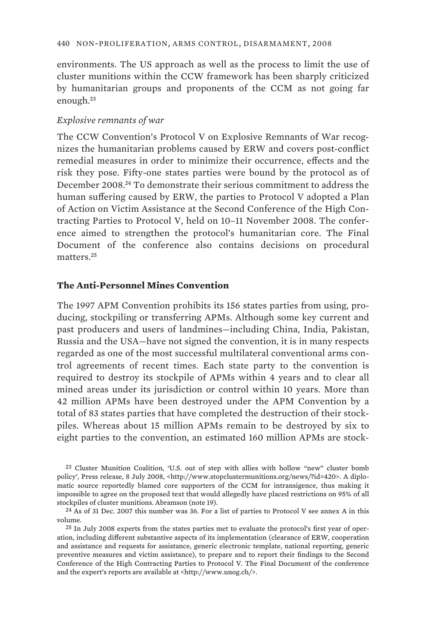environments. The US approach as well as the process to limit the use of cluster munitions within the CCW framework has been sharply criticized by humanitarian groups and proponents of the CCM as not going far enough.<sup>23</sup>

### *Explosive remnants of war*

The CCW Convention's Protocol V on Explosive Remnants of War recognizes the humanitarian problems caused by ERW and covers post-conflict remedial measures in order to minimize their occurrence, effects and the risk they pose. Fifty-one states parties were bound by the protocol as of December 2008.<sup>24</sup> To demonstrate their serious commitment to address the human suffering caused by ERW, the parties to Protocol V adopted a Plan of Action on Victim Assistance at the Second Conference of the High Contracting Parties to Protocol V, held on 10–11 November 2008. The conference aimed to strengthen the protocol's humanitarian core. The Final Document of the conference also contains decisions on procedural matters<sup>25</sup>

## **The Anti-Personnel Mines Convention**

The 1997 APM Convention prohibits its 156 states parties from using, producing, stockpiling or transferring APMs. Although some key current and past producers and users of landmines—including China, India, Pakistan, Russia and the USA—have not signed the convention, it is in many respects regarded as one of the most successful multilateral conventional arms control agreements of recent times. Each state party to the convention is required to destroy its stockpile of APMs within 4 years and to clear all mined areas under its jurisdiction or control within 10 years. More than 42 million APMs have been destroyed under the APM Convention by a total of 83 states parties that have completed the destruction of their stockpiles. Whereas about 15 million APMs remain to be destroyed by six to eight parties to the convention, an estimated 160 million APMs are stock-

<sup>23</sup> Cluster Munition Coalition, 'U.S. out of step with allies with hollow "new" cluster bomb policy', Press release, 8 July 2008, <http://www.stopclustermunitions.org/news/?id=420>. A diplomatic source reportedly blamed core supporters of the CCM for intransigence, thus making it impossible to agree on the proposed text that would allegedly have placed restrictions on 95% of all stockpiles of cluster munitions. Abramson (note 19).

<sup>24</sup> As of 31 Dec. 2007 this number was 36. For a list of parties to Protocol V see annex A in this volume.

<sup>25</sup> In July 2008 experts from the states parties met to evaluate the protocol's first year of operation, including different substantive aspects of its implementation (clearance of ERW, cooperation and assistance and requests for assistance, generic electronic template, national reporting, generic preventive measures and victim assistance), to prepare and to report their findings to the Second Conference of the High Contracting Parties to Protocol V. The Final Document of the conference and the expert's reports are available at <http://www.unog.ch/>.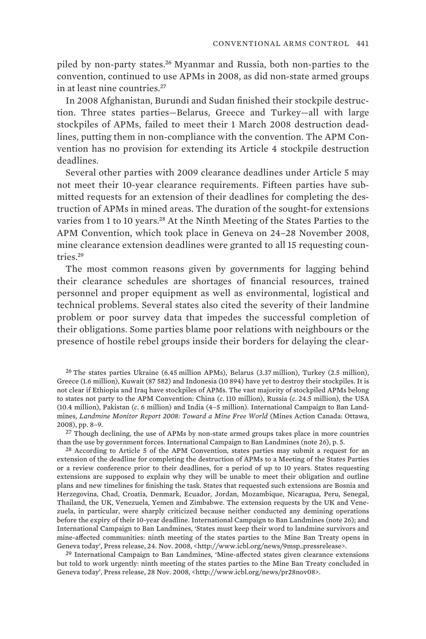piled by non-party states.<sup>26</sup> Myanmar and Russia, both non-parties to the convention, continued to use APMs in 2008, as did non-state armed groups in at least nine countries.<sup>27</sup>

In 2008 Afghanistan, Burundi and Sudan finished their stockpile destruction. Three states parties—Belarus, Greece and Turkey—all with large stockpiles of APMs, failed to meet their 1 March 2008 destruction deadlines, putting them in non-compliance with the convention. The APM Convention has no provision for extending its Article 4 stockpile destruction deadlines.

Several other parties with 2009 clearance deadlines under Article 5 may not meet their 10-year clearance requirements. Fifteen parties have submitted requests for an extension of their deadlines for completing the destruction of APMs in mined areas. The duration of the sought-for extensions varies from 1 to 10 years.<sup>28</sup> At the Ninth Meeting of the States Parties to the APM Convention, which took place in Geneva on 24–28 November 2008, mine clearance extension deadlines were granted to all 15 requesting countries<sup>29</sup>

The most common reasons given by governments for lagging behind their clearance schedules are shortages of financial resources, trained personnel and proper equipment as well as environmental, logistical and technical problems. Several states also cited the severity of their landmine problem or poor survey data that impedes the successful completion of their obligations. Some parties blame poor relations with neighbours or the presence of hostile rebel groups inside their borders for delaying the clear-

26 The states parties Ukraine (6.45 million APMs), Belarus (3.37 million), Turkey (2.5 million), Greece (1.6 million), Kuwait (87 582) and Indonesia (10 894) have yet to destroy their stockpiles. It is not clear if Ethiopia and Iraq have stockpiles of APMs. The vast majority of stockpiled APMs belong to states not party to the APM Convention: China (*c*. 110 million), Russia (*c*. 24.5 million), the USA (10.4 million), Pakistan (*c*. 6 million) and India (4–5 million). International Campaign to Ban Landmines, *Landmine Monitor Report 2008: Toward a Mine Free World* (Mines Action Canada: Ottawa, 2008), pp. 8–9.

<sup>27</sup> Though declining, the use of APMs by non-state armed groups takes place in more countries than the use by government forces. International Campaign to Ban Landmines (note 26), p. 5.

28 According to Article 5 of the APM Convention, states parties may submit a request for an extension of the deadline for completing the destruction of APMs to a Meeting of the States Parties or a review conference prior to their deadlines, for a period of up to 10 years. States requesting extensions are supposed to explain why they will be unable to meet their obligation and outline plans and new timelines for finishing the task. States that requested such extensions are Bosnia and Herzegovina, Chad, Croatia, Denmark, Ecuador, Jordan, Mozambique, Nicaragua, Peru, Senegal, Thailand, the UK, Venezuela, Yemen and Zimbabwe. The extension requests by the UK and Venezuela, in particular, were sharply criticized because neither conducted any demining operations before the expiry of their 10-year deadline. International Campaign to Ban Landmines (note 26); and International Campaign to Ban Landmines, 'States must keep their word to landmine survivors and mine-affected communities: ninth meeting of the states parties to the Mine Ban Treaty opens in Geneva today', Press release, 24. Nov. 2008, <http://www.icbl.org/news/9msp\_pressrelease>.

29 International Campaign to Ban Landmines, 'Mine-affected states given clearance extensions but told to work urgently: ninth meeting of the states parties to the Mine Ban Treaty concluded in Geneva today', Press release, 28 Nov. 2008, <http://www.icbl.org/news/pr28nov08>.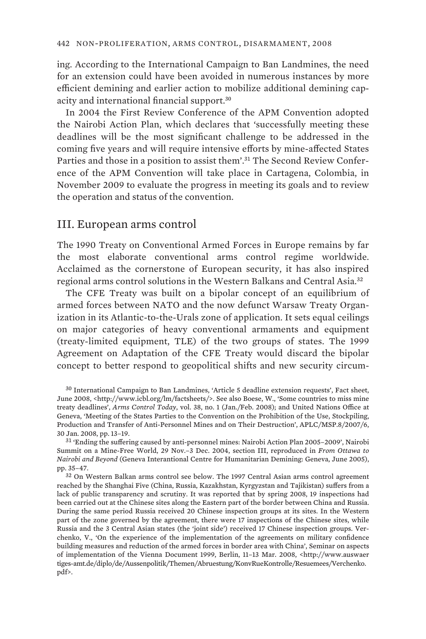ing. According to the International Campaign to Ban Landmines, the need for an extension could have been avoided in numerous instances by more efficient demining and earlier action to mobilize additional demining capacity and international financial support.<sup>30</sup>

In 2004 the First Review Conference of the APM Convention adopted the Nairobi Action Plan, which declares that 'successfully meeting these deadlines will be the most significant challenge to be addressed in the coming five years and will require intensive efforts by mine-affected States Parties and those in a position to assist them'.<sup>31</sup> The Second Review Conference of the APM Convention will take place in Cartagena, Colombia, in November 2009 to evaluate the progress in meeting its goals and to review the operation and status of the convention.

## III. European arms control

The 1990 Treaty on Conventional Armed Forces in Europe remains by far the most elaborate conventional arms control regime worldwide. Acclaimed as the cornerstone of European security, it has also inspired regional arms control solutions in the Western Balkans and Central Asia.<sup>32</sup>

The CFE Treaty was built on a bipolar concept of an equilibrium of armed forces between NATO and the now defunct Warsaw Treaty Organization in its Atlantic-to-the-Urals zone of application. It sets equal ceilings on major categories of heavy conventional armaments and equipment (treaty-limited equipment, TLE) of the two groups of states. The 1999 Agreement on Adaptation of the CFE Treaty would discard the bipolar concept to better respond to geopolitical shifts and new security circum-

<sup>30</sup> International Campaign to Ban Landmines, 'Article 5 deadline extension requests', Fact sheet, June 2008, <http://www.icbl.org/lm/factsheets/>. See also Boese, W., 'Some countries to miss mine treaty deadlines', *Arms Control Today*, vol. 38, no. 1 (Jan./Feb. 2008); and United Nations Office at Geneva, 'Meeting of the States Parties to the Convention on the Prohibition of the Use, Stockpiling, Production and Transfer of Anti-Personnel Mines and on Their Destruction', APLC/MSP.8/2007/6, 30 Jan. 2008, pp. 13–19.

<sup>31</sup> 'Ending the suffering caused by anti-personnel mines: Nairobi Action Plan 2005–2009', Nairobi Summit on a Mine-Free World, 29 Nov.–3 Dec. 2004, section III, reproduced in *From Ottawa to Nairobi and Beyond* (Geneva Interantional Centre for Humanitarian Demining: Geneva, June 2005), pp. 35–47.

<sup>32</sup> On Western Balkan arms control see below. The 1997 Central Asian arms control agreement reached by the Shanghai Five (China, Russia, Kazakhstan, Kyrgyzstan and Tajikistan) suffers from a lack of public transparency and scrutiny. It was reported that by spring 2008, 19 inspections had been carried out at the Chinese sites along the Eastern part of the border between China and Russia. During the same period Russia received 20 Chinese inspection groups at its sites. In the Western part of the zone governed by the agreement, there were 17 inspections of the Chinese sites, while Russia and the 3 Central Asian states (the 'joint side') received 17 Chinese inspection groups. Verchenko, V., 'On the experience of the implementation of the agreements on military confidence building measures and reduction of the armed forces in border area with China', Seminar on aspects of implementation of the Vienna Document 1999, Berlin, 11–13 Mar. 2008, <http://www.auswaer tiges-amt.de/diplo/de/Aussenpolitik/Themen/Abruestung/KonvRueKontrolle/Resuemees/Verchenko. pdf>.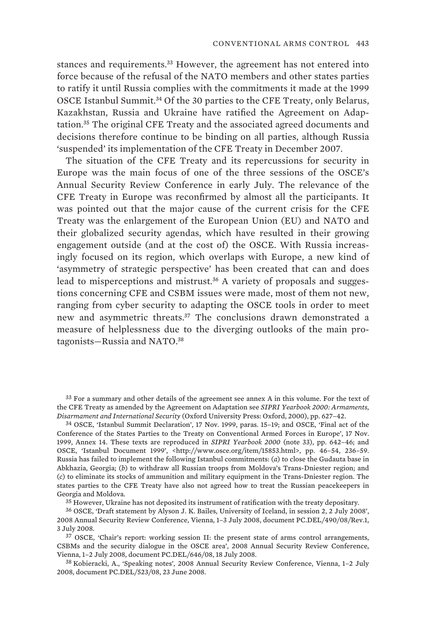stances and requirements.<sup>33</sup> However, the agreement has not entered into force because of the refusal of the NATO members and other states parties to ratify it until Russia complies with the commitments it made at the 1999 OSCE Istanbul Summit.<sup>34</sup> Of the 30 parties to the CFE Treaty, only Belarus, Kazakhstan, Russia and Ukraine have ratified the Agreement on Adaptation.<sup>35</sup> The original CFE Treaty and the associated agreed documents and decisions therefore continue to be binding on all parties, although Russia 'suspended' its implementation of the CFE Treaty in December 2007.

The situation of the CFE Treaty and its repercussions for security in Europe was the main focus of one of the three sessions of the OSCE's Annual Security Review Conference in early July. The relevance of the CFE Treaty in Europe was reconfirmed by almost all the participants. It was pointed out that the major cause of the current crisis for the CFE Treaty was the enlargement of the European Union (EU) and NATO and their globalized security agendas, which have resulted in their growing engagement outside (and at the cost of) the OSCE. With Russia increasingly focused on its region, which overlaps with Europe, a new kind of 'asymmetry of strategic perspective' has been created that can and does lead to misperceptions and mistrust.<sup>36</sup> A variety of proposals and suggestions concerning CFE and CSBM issues were made, most of them not new, ranging from cyber security to adapting the OSCE tools in order to meet new and asymmetric threats.<sup>37</sup> The conclusions drawn demonstrated a measure of helplessness due to the diverging outlooks of the main protagonists-Russia and NATO.<sup>38</sup>

34 OSCE, 'Istanbul Summit Declaration', 17 Nov. 1999, paras. 15–19; and OSCE, 'Final act of the Conference of the States Parties to the Treaty on Conventional Armed Forces in Europe', 17 Nov. 1999, Annex 14. These texts are reproduced in *SIPRI Yearbook 2000* (note 33), pp. 642–46; and OSCE, 'Istanbul Document 1999', <http://www.osce.org/item/15853.html>, pp. 46-54, 236-59. Russia has failed to implement the following Istanbul commitments: (*a*) to close the Gudauta base in Abkhazia, Georgia; (*b*) to withdraw all Russian troops from Moldova's Trans-Dniester region; and (*c*) to eliminate its stocks of ammunition and military equipment in the Trans-Dniester region. The states parties to the CFE Treaty have also not agreed how to treat the Russian peacekeepers in Georgia and Moldova.

35 However, Ukraine has not deposited its instrument of ratification with the treaty depositary.

36 OSCE, 'Draft statement by Alyson J. K. Bailes, University of Iceland, in session 2, 2 July 2008', 2008 Annual Security Review Conference, Vienna, 1–3 July 2008, document PC.DEL/490/08/Rev.1, 3 July 2008.

37 OSCE, 'Chair's report: working session II: the present state of arms control arrangements, CSBMs and the security dialogue in the OSCE area', 2008 Annual Security Review Conference, Vienna, 1–2 July 2008, document PC.DEL/646/08, 18 July 2008.

38 Kobieracki, A., 'Speaking notes', 2008 Annual Security Review Conference, Vienna, 1–2 July 2008, document PC.DEL/523/08, 23 June 2008.

<sup>33</sup> For a summary and other details of the agreement see annex A in this volume. For the text of the CFE Treaty as amended by the Agreement on Adaptation see *SIPRI Yearbook 2000: Armaments, Disarmament and International Security* (Oxford University Press: Oxford, 2000), pp. 627–42.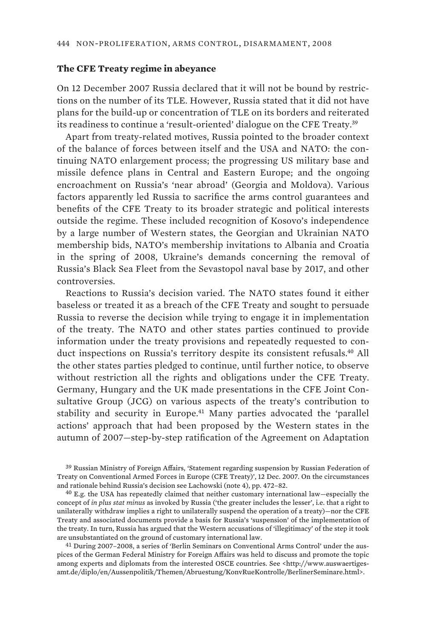## **The CFE Treaty regime in abeyance**

On 12 December 2007 Russia declared that it will not be bound by restrictions on the number of its TLE. However, Russia stated that it did not have plans for the build-up or concentration of TLE on its borders and reiterated its readiness to continue a 'result-oriented' dialogue on the CFE Treaty.<sup>39</sup>

Apart from treaty-related motives, Russia pointed to the broader context of the balance of forces between itself and the USA and NATO: the continuing NATO enlargement process; the progressing US military base and missile defence plans in Central and Eastern Europe; and the ongoing encroachment on Russia's 'near abroad' (Georgia and Moldova). Various factors apparently led Russia to sacrifice the arms control guarantees and benefits of the CFE Treaty to its broader strategic and political interests outside the regime. These included recognition of Kosovo's independence by a large number of Western states, the Georgian and Ukrainian NATO membership bids, NATO's membership invitations to Albania and Croatia in the spring of 2008, Ukraine's demands concerning the removal of Russia's Black Sea Fleet from the Sevastopol naval base by 2017, and other controversies.

Reactions to Russia's decision varied. The NATO states found it either baseless or treated it as a breach of the CFE Treaty and sought to persuade Russia to reverse the decision while trying to engage it in implementation of the treaty. The NATO and other states parties continued to provide information under the treaty provisions and repeatedly requested to conduct inspections on Russia's territory despite its consistent refusals.<sup>40</sup> All the other states parties pledged to continue, until further notice, to observe without restriction all the rights and obligations under the CFE Treaty. Germany, Hungary and the UK made presentations in the CFE Joint Consultative Group (JCG) on various aspects of the treaty's contribution to stability and security in Europe.<sup>41</sup> Many parties advocated the 'parallel actions' approach that had been proposed by the Western states in the autumn of 2007—step-by-step ratification of the Agreement on Adaptation

39 Russian Ministry of Foreign Affairs, 'Statement regarding suspension by Russian Federation of Treaty on Conventional Armed Forces in Europe (CFE Treaty)', 12 Dec. 2007. On the circumstances and rationale behind Russia's decision see Lachowski (note 4), pp. 472–82.

40 E.g. the USA has repeatedly claimed that neither customary international law—especially the concept of *in plus stat minus* as invoked by Russia ('the greater includes the lesser', i.e. that a right to unilaterally withdraw implies a right to unilaterally suspend the operation of a treaty)—nor the CFE Treaty and associated documents provide a basis for Russia's 'suspension' of the implementation of the treaty. In turn, Russia has argued that the Western accusations of 'illegitimacy' of the step it took are unsubstantiated on the ground of customary international law.

41 During 2007–2008, a series of 'Berlin Seminars on Conventional Arms Control' under the auspices of the German Federal Ministry for Foreign Affairs was held to discuss and promote the topic among experts and diplomats from the interested OSCE countries. See <http://www.auswaertigesamt.de/diplo/en/Aussenpolitik/Themen/Abruestung/KonvRueKontrolle/BerlinerSeminare.html>.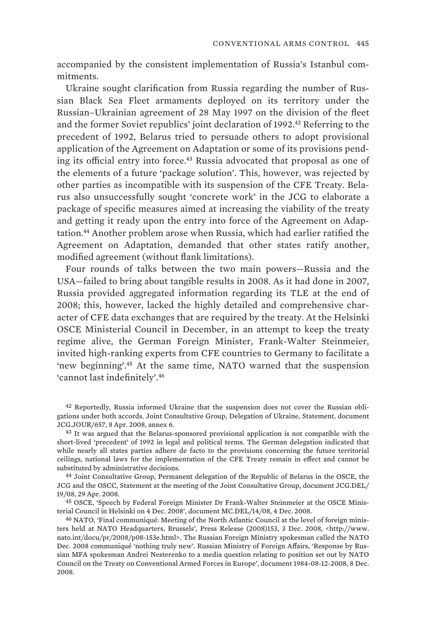accompanied by the consistent implementation of Russia's Istanbul commitments.

Ukraine sought clarification from Russia regarding the number of Russian Black Sea Fleet armaments deployed on its territory under the Russian–Ukrainian agreement of 28 May 1997 on the division of the fleet and the former Soviet republics' joint declaration of 1992.<sup>42</sup> Referring to the precedent of 1992, Belarus tried to persuade others to adopt provisional application of the Agreement on Adaptation or some of its provisions pending its official entry into force.<sup>43</sup> Russia advocated that proposal as one of the elements of a future 'package solution'. This, however, was rejected by other parties as incompatible with its suspension of the CFE Treaty. Belarus also unsuccessfully sought 'concrete work' in the JCG to elaborate a package of specific measures aimed at increasing the viability of the treaty and getting it ready upon the entry into force of the Agreement on Adaptation.<sup>44</sup> Another problem arose when Russia, which had earlier ratified the Agreement on Adaptation, demanded that other states ratify another, modified agreement (without flank limitations).

Four rounds of talks between the two main powers—Russia and the USA—failed to bring about tangible results in 2008. As it had done in 2007, Russia provided aggregated information regarding its TLE at the end of 2008; this, however, lacked the highly detailed and comprehensive character of CFE data exchanges that are required by the treaty. At the Helsinki OSCE Ministerial Council in December, in an attempt to keep the treaty regime alive, the German Foreign Minister, Frank-Walter Steinmeier, invited high-ranking experts from CFE countries to Germany to facilitate a 'new beginning'.<sup>45</sup> At the same time, NATO warned that the suspension 'cannot last indefinitely'.<sup>46</sup>

44 Joint Consultative Group, Permanent delegation of the Republic of Belarus in the OSCE, the JCG and the OSCC, Statement at the meeting of the Joint Consultative Group, document JCG.DEL/ 19/08, 29 Apr. 2008.

45 OSCE, 'Speech by Federal Foreign Minister Dr Frank-Walter Steinmeier at the OSCE Ministerial Council in Helsinki on 4 Dec. 2008', document MC.DEL/14/08, 4 Dec. 2008.

46 NATO, 'Final communiqué: Meeting of the North Atlantic Council at the level of foreign ministers held at NATO Headquarters, Brussels', Press Release (2008)153, 3 Dec. 2008, <http://www. nato.int/docu/pr/2008/p08-153e.html>. The Russian Foreign Ministry spokesman called the NATO Dec. 2008 communiqué 'nothing truly new'. Russian Ministry of Foreign Affairs, 'Response by Russian MFA spokesman Andrei Nesterenko to a media question relating to position set out by NATO Council on the Treaty on Conventional Armed Forces in Europe', document 1984-08-12-2008, 8 Dec. 2008.

<sup>42</sup> Reportedly, Russia informed Ukraine that the suspension does not cover the Russian obligations under both accords. Joint Consultative Group, Delegation of Ukraine, Statement, document JCG.JOUR/657, 8 Apr. 2008, annex 6.

<sup>&</sup>lt;sup>43</sup> It was argued that the Belarus-sponsored provisional application is not compatible with the short-lived 'precedent' of 1992 in legal and political terms. The German delegation indicated that while nearly all states parties adhere de facto to the provisions concerning the future territorial ceilings, national laws for the implementation of the CFE Treaty remain in effect and cannot be substituted by administrative decisions.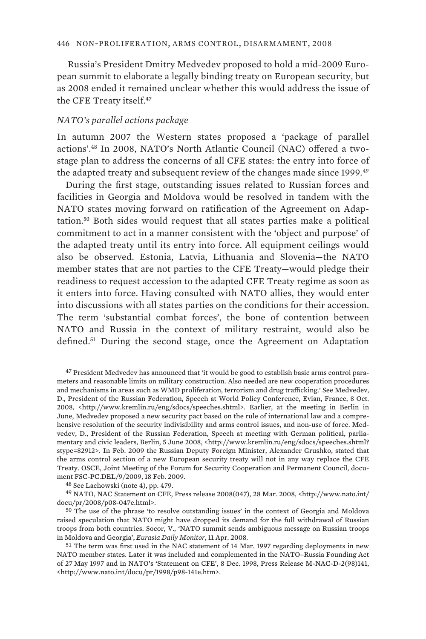Russia's President Dmitry Medvedev proposed to hold a mid-2009 European summit to elaborate a legally binding treaty on European security, but as 2008 ended it remained unclear whether this would address the issue of the CFE Treaty itself.<sup>47</sup>

#### *NATO's parallel actions package*

In autumn 2007 the Western states proposed a 'package of parallel actions'.48 In 2008, NATO's North Atlantic Council (NAC) offered a twostage plan to address the concerns of all CFE states: the entry into force of the adapted treaty and subsequent review of the changes made since 1999.<sup>49</sup>

During the first stage, outstanding issues related to Russian forces and facilities in Georgia and Moldova would be resolved in tandem with the NATO states moving forward on ratification of the Agreement on Adaptation.<sup>50</sup> Both sides would request that all states parties make a political commitment to act in a manner consistent with the 'object and purpose' of the adapted treaty until its entry into force. All equipment ceilings would also be observed. Estonia, Latvia, Lithuania and Slovenia—the NATO member states that are not parties to the CFE Treaty—would pledge their readiness to request accession to the adapted CFE Treaty regime as soon as it enters into force. Having consulted with NATO allies, they would enter into discussions with all states parties on the conditions for their accession. The term 'substantial combat forces', the bone of contention between NATO and Russia in the context of military restraint, would also be defined.<sup>51</sup> During the second stage, once the Agreement on Adaptation

48 See Lachowski (note 4), pp. 479.

49 NATO, NAC Statement on CFE, Press release 2008(047), 28 Mar. 2008, <http://www.nato.int/ docu/pr/2008/p08-047e.html>.

50 The use of the phrase 'to resolve outstanding issues' in the context of Georgia and Moldova raised speculation that NATO might have dropped its demand for the full withdrawal of Russian troops from both countries. Socor, V., 'NATO summit sends ambiguous message on Russian troops in Moldova and Georgia', *Eurasia Daily Monitor*, 11 Apr. 2008.

51 The term was first used in the NAC statement of 14 Mar. 1997 regarding deployments in new NATO member states. Later it was included and complemented in the NATO–Russia Founding Act of 27 May 1997 and in NATO's 'Statement on CFE', 8 Dec. 1998, Press Release M-NAC-D-2(98)141, <http://www.nato.int/docu/pr/1998/p98-141e.htm>.

<sup>47</sup> President Medvedev has announced that 'it would be good to establish basic arms control parameters and reasonable limits on military construction. Also needed are new cooperation procedures and mechanisms in areas such as WMD proliferation, terrorism and drug trafficking.' See Medvedev, D., President of the Russian Federation, Speech at World Policy Conference, Evian, France, 8 Oct. 2008, <http://www.kremlin.ru/eng/sdocs/speeches.shtml>. Earlier, at the meeting in Berlin in June, Medvedev proposed a new security pact based on the rule of international law and a comprehensive resolution of the security indivisibility and arms control issues, and non-use of force. Medvedev, D., President of the Russian Federation, Speech at meeting with German political, parliamentary and civic leaders, Berlin, 5 June 2008, <http://www.kremlin.ru/eng/sdocs/speeches.shtml? stype=82912>. In Feb. 2009 the Russian Deputy Foreign Minister, Alexander Grushko, stated that the arms control section of a new European security treaty will not in any way replace the CFE Treaty. OSCE, Joint Meeting of the Forum for Security Cooperation and Permanent Council, document FSC-PC.DEL/9/2009, 18 Feb. 2009.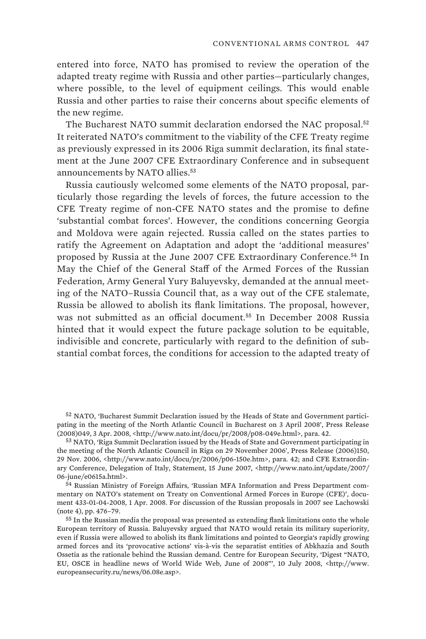entered into force, NATO has promised to review the operation of the adapted treaty regime with Russia and other parties—particularly changes, where possible, to the level of equipment ceilings. This would enable Russia and other parties to raise their concerns about specific elements of the new regime.

The Bucharest NATO summit declaration endorsed the NAC proposal.<sup>52</sup> It reiterated NATO's commitment to the viability of the CFE Treaty regime as previously expressed in its 2006 Riga summit declaration, its final statement at the June 2007 CFE Extraordinary Conference and in subsequent announcements by NATO allies.<sup>53</sup>

Russia cautiously welcomed some elements of the NATO proposal, particularly those regarding the levels of forces, the future accession to the CFE Treaty regime of non-CFE NATO states and the promise to define 'substantial combat forces'. However, the conditions concerning Georgia and Moldova were again rejected. Russia called on the states parties to ratify the Agreement on Adaptation and adopt the 'additional measures' proposed by Russia at the June 2007 CFE Extraordinary Conference.<sup>54</sup> In May the Chief of the General Staff of the Armed Forces of the Russian Federation, Army General Yury Baluyevsky, demanded at the annual meeting of the NATO–Russia Council that, as a way out of the CFE stalemate, Russia be allowed to abolish its flank limitations. The proposal, however, was not submitted as an official document.<sup>55</sup> In December 2008 Russia hinted that it would expect the future package solution to be equitable, indivisible and concrete, particularly with regard to the definition of substantial combat forces, the conditions for accession to the adapted treaty of

52 NATO, 'Bucharest Summit Declaration issued by the Heads of State and Government participating in the meeting of the North Atlantic Council in Bucharest on 3 April 2008', Press Release (2008)049, 3 Apr. 2008, <http://www.nato.int/docu/pr/2008/p08-049e.html>, para. 42.

53 NATO, 'Riga Summit Declaration issued by the Heads of State and Government participating in the meeting of the North Atlantic Council in Riga on 29 November 2006', Press Release (2006)150, 29 Nov. 2006, <http://www.nato.int/docu/pr/2006/p06-150e.htm>, para. 42; and CFE Extraordinary Conference, Delegation of Italy, Statement, 15 June 2007, <http://www.nato.int/update/2007/ 06-june/e0615a.html>.

54 Russian Ministry of Foreign Affairs, 'Russian MFA Information and Press Department commentary on NATO's statement on Treaty on Conventional Armed Forces in Europe (CFE)', document 433-01-04-2008, 1 Apr. 2008. For discussion of the Russian proposals in 2007 see Lachowski (note 4), pp. 476–79.

55 In the Russian media the proposal was presented as extending flank limitations onto the whole European territory of Russia. Baluyevsky argued that NATO would retain its military superiority, even if Russia were allowed to abolish its flank limitations and pointed to Georgia's rapidly growing armed forces and its 'provocative actions' vis-à-vis the separatist entities of Abkhazia and South Ossetia as the rationale behind the Russian demand. Centre for European Security, 'Digest "NATO, EU, OSCE in headline news of World Wide Web, June of 2008"', 10 July 2008, <http://www. europeansecurity.ru/news/06.08e.asp>.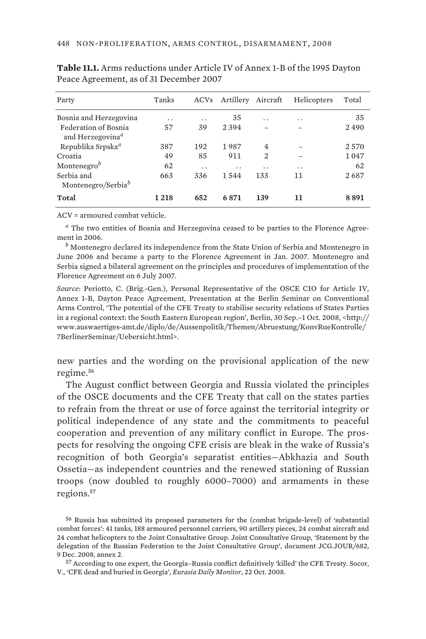| Party                                                | Tanks                | ACVs                 | Artillery Aircraft |                | Helicopters | Total |
|------------------------------------------------------|----------------------|----------------------|--------------------|----------------|-------------|-------|
| Bosnia and Herzegovina                               | $\ddot{\phantom{0}}$ | $\cdot$ .            | 35                 | $\cdot$ .      | $\cdot$ .   | 35    |
| Federation of Bosnia<br>and Herzegovina <sup>a</sup> | 57                   | 39                   | 2394               |                |             | 2490  |
| Republika Srpska <sup>a</sup>                        | 387                  | 192                  | 1987               | $\overline{4}$ |             | 2570  |
| Croatia                                              | 49                   | 85                   | 911                | $\overline{2}$ |             | 1047  |
| Montenegro <sup>b</sup>                              | 62                   | $\ddot{\phantom{0}}$ | . .                | . .            | . .         | 62    |
| Serbia and<br>Montenegro/Serbia <sup>b</sup>         | 663                  | 336                  | 1544               | 133            | 11          | 2687  |
| Total                                                | 1 2 1 8              | 652                  | 6871               | 139            | 11          | 8891  |

**Table 11.1.** Arms reductions under Article IV of Annex 1-B of the 1995 Dayton Peace Agreement, as of 31 December 2007

ACV = armoured combat vehicle.

*a* The two entities of Bosnia and Herzegovina ceased to be parties to the Florence Agreement in 2006.

*b* Montenegro declared its independence from the State Union of Serbia and Montenegro in June 2006 and became a party to the Florence Agreement in Jan. 2007. Montenegro and Serbia signed a bilateral agreement on the principles and procedures of implementation of the Florence Agreement on 6 July 2007.

*Source*: Periotto, C. (Brig.-Gen.), Personal Representative of the OSCE CIO for Article IV, Annex 1-B, Dayton Peace Agreement, Presentation at the Berlin Seminar on Conventional Arms Control, 'The potential of the CFE Treaty to stabilise security relations of States Parties in a regional context: the South Eastern European region', Berlin, 30 Sep.–1 Oct. 2008, <http:// www.auswaertiges-amt.de/diplo/de/Aussenpolitik/Themen/Abruestung/KonvRueKontrolle/ 7BerlinerSeminar/Uebersicht.html>.

new parties and the wording on the provisional application of the new regime.<sup>56</sup>

The August conflict between Georgia and Russia violated the principles of the OSCE documents and the CFE Treaty that call on the states parties to refrain from the threat or use of force against the territorial integrity or political independence of any state and the commitments to peaceful cooperation and prevention of any military conflict in Europe. The prospects for resolving the ongoing CFE crisis are bleak in the wake of Russia's recognition of both Georgia's separatist entities—Abkhazia and South Ossetia—as independent countries and the renewed stationing of Russian troops (now doubled to roughly 6000–7000) and armaments in these regions.<sup>57</sup>

<sup>56</sup> Russia has submitted its proposed parameters for the (combat brigade-level) of 'substantial combat forces': 41 tanks, 188 armoured personnel carriers, 90 artillery pieces, 24 combat aircraft and 24 combat helicopters to the Joint Consultative Group. Joint Consultative Group, 'Statement by the delegation of the Russian Federation to the Joint Consultative Group', document JCG.JOUR/682, 9 Dec. 2008, annex 2.

<sup>57</sup> According to one expert, the Georgia–Russia conflict definitively 'killed' the CFE Treaty. Socor, V., 'CFE dead and buried in Georgia', *Eurasia Daily Monitor*, 22 Oct. 2008.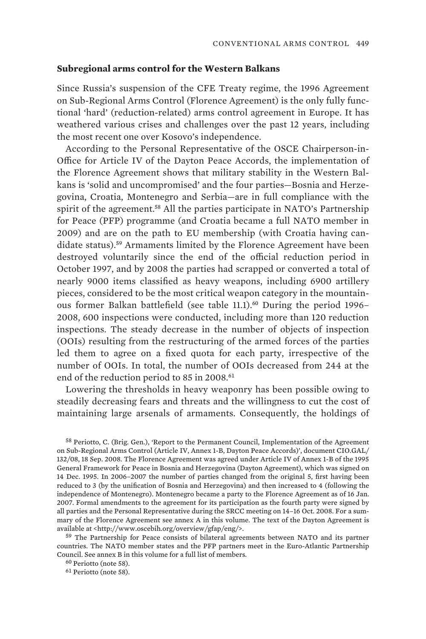## **Subregional arms control for the Western Balkans**

Since Russia's suspension of the CFE Treaty regime, the 1996 Agreement on Sub-Regional Arms Control (Florence Agreement) is the only fully functional 'hard' (reduction-related) arms control agreement in Europe. It has weathered various crises and challenges over the past 12 years, including the most recent one over Kosovo's independence.

According to the Personal Representative of the OSCE Chairperson-in-Office for Article IV of the Dayton Peace Accords, the implementation of the Florence Agreement shows that military stability in the Western Balkans is 'solid and uncompromised' and the four parties—Bosnia and Herzegovina, Croatia, Montenegro and Serbia—are in full compliance with the spirit of the agreement.<sup>58</sup> All the parties participate in NATO's Partnership for Peace (PFP) programme (and Croatia became a full NATO member in 2009) and are on the path to EU membership (with Croatia having candidate status).<sup>59</sup> Armaments limited by the Florence Agreement have been destroyed voluntarily since the end of the official reduction period in October 1997, and by 2008 the parties had scrapped or converted a total of nearly 9000 items classified as heavy weapons, including 6900 artillery pieces, considered to be the most critical weapon category in the mountainous former Balkan battlefield (see table 11.1).<sup>60</sup> During the period 1996– 2008, 600 inspections were conducted, including more than 120 reduction inspections. The steady decrease in the number of objects of inspection (OOIs) resulting from the restructuring of the armed forces of the parties led them to agree on a fixed quota for each party, irrespective of the number of OOIs. In total, the number of OOIs decreased from 244 at the end of the reduction period to 85 in 2008.<sup>61</sup>

Lowering the thresholds in heavy weaponry has been possible owing to steadily decreasing fears and threats and the willingness to cut the cost of maintaining large arsenals of armaments. Consequently, the holdings of

58 Periotto, C. (Brig. Gen.), 'Report to the Permanent Council, Implementation of the Agreement on Sub-Regional Arms Control (Article IV, Annex 1-B, Dayton Peace Accords)', document CIO.GAL/ 132/08, 18 Sep. 2008. The Florence Agreement was agreed under Article IV of Annex 1-B of the 1995 General Framework for Peace in Bosnia and Herzegovina (Dayton Agreement), which was signed on 14 Dec. 1995. In 2006–2007 the number of parties changed from the original 5, first having been reduced to 3 (by the unification of Bosnia and Herzegovina) and then increased to 4 (following the independence of Montenegro). Montenegro became a party to the Florence Agreement as of 16 Jan. 2007. Formal amendments to the agreement for its participation as the fourth party were signed by all parties and the Personal Representative during the SRCC meeting on 14–16 Oct. 2008. For a summary of the Florence Agreement see annex A in this volume. The text of the Dayton Agreement is available at <http://www.oscebih.org/overview/gfap/eng/>.

59 The Partnership for Peace consists of bilateral agreements between NATO and its partner countries. The NATO member states and the PFP partners meet in the Euro-Atlantic Partnership Council. See annex B in this volume for a full list of members.

61 Periotto (note 58).

<sup>60</sup> Periotto (note 58).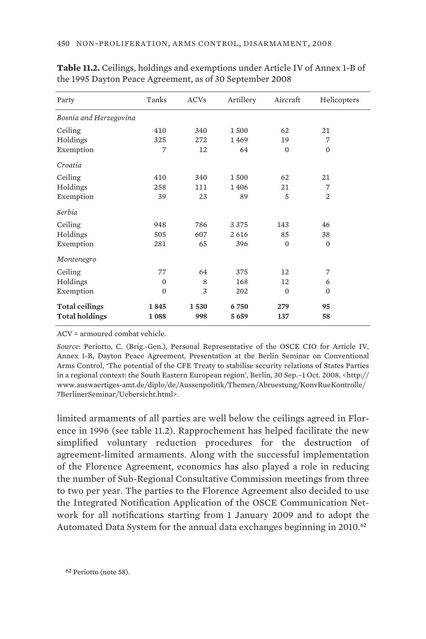| Party                  | Tanks        | <b>ACVs</b> | Artillery | Aircraft     | Helicopters  |
|------------------------|--------------|-------------|-----------|--------------|--------------|
| Bosnia and Herzegovina |              |             |           |              |              |
| Ceiling                | 410          | 340         | 1500      | 62           | 21           |
| Holdings               | 325          | 272         | 1469      | 19           | 7            |
| Exemption              | 7            | 12          | 64        | $\mathbf{0}$ | $\mathbf{0}$ |
| Croatia                |              |             |           |              |              |
| Ceiling                | 410          | 340         | 1500      | 62           | 21           |
| Holdings               | 258          | 111         | 1406      | 21           | 7            |
| Exemption              | 39           | 23          | 89        | 5            | 2            |
| Serbia                 |              |             |           |              |              |
| Ceiling                | 948          | 786         | 3375      | 143          | 46           |
| Holdings               | 505          | 607         | 2616      | 85           | 38           |
| Exemption              | 281          | 65          | 396       | $\mathbf{0}$ | $\mathbf{0}$ |
| Montenegro             |              |             |           |              |              |
| Ceiling                | 77           | 64          | 375       | 12           | 7            |
| Holdings               | $\mathbf{0}$ | 8           | 168       | 12           | 6            |
| Exemption              | $\Omega$     | 3           | 202       | $\Omega$     | $\Omega$     |
| <b>Total ceilings</b>  | 1845         | 1530        | 6750      | 279          | 95           |
| <b>Total holdings</b>  | 1088         | 998         | 5659      | 137          | 58           |

**Table 11.2.** Ceilings, holdings and exemptions under Article IV of Annex 1-B of the 1995 Dayton Peace Agreement, as of 30 September 2008

ACV = armoured combat vehicle.

*Source*: Periotto, C. (Brig.-Gen.), Personal Representative of the OSCE CIO for Article IV, Annex 1-B, Dayton Peace Agreement, Presentation at the Berlin Seminar on Conventional Arms Control, 'The potential of the CFE Treaty to stabilise security relations of States Parties in a regional context: the South Eastern European region', Berlin, 30 Sep.–1 Oct. 2008, <http:// www.auswaertiges-amt.de/diplo/de/Aussenpolitik/Themen/Abruestung/KonvRueKontrolle/ 7BerlinerSeminar/Uebersicht.html>.

limited armaments of all parties are well below the ceilings agreed in Florence in 1996 (see table 11.2). Rapprochement has helped facilitate the new simplified voluntary reduction procedures for the destruction of agreement-limited armaments. Along with the successful implementation of the Florence Agreement, economics has also played a role in reducing the number of Sub-Regional Consultative Commission meetings from three to two per year. The parties to the Florence Agreement also decided to use the Integrated Notification Application of the OSCE Communication Network for all notifications starting from 1 January 2009 and to adopt the Automated Data System for the annual data exchanges beginning in 2010.<sup>62</sup>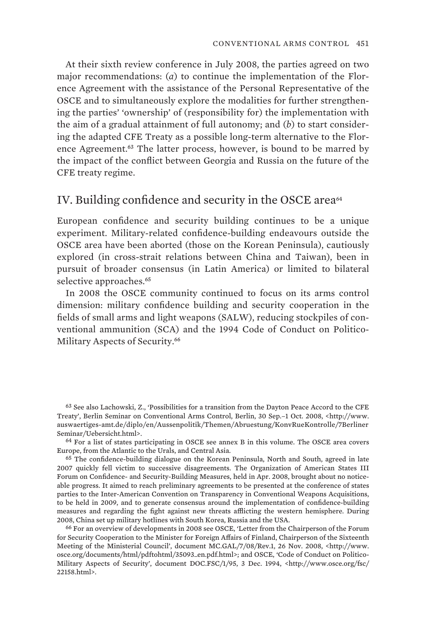At their sixth review conference in July 2008, the parties agreed on two major recommendations: (*a*) to continue the implementation of the Florence Agreement with the assistance of the Personal Representative of the OSCE and to simultaneously explore the modalities for further strengthening the parties' 'ownership' of (responsibility for) the implementation with the aim of a gradual attainment of full autonomy; and (*b*) to start considering the adapted CFE Treaty as a possible long-term alternative to the Florence Agreement.<sup>63</sup> The latter process, however, is bound to be marred by the impact of the conflict between Georgia and Russia on the future of the CFE treaty regime.

# IV. Building confidence and security in the OSCE area<sup>64</sup>

European confidence and security building continues to be a unique experiment. Military-related confidence-building endeavours outside the OSCE area have been aborted (those on the Korean Peninsula), cautiously explored (in cross-strait relations between China and Taiwan), been in pursuit of broader consensus (in Latin America) or limited to bilateral selective approaches.<sup>65</sup>

In 2008 the OSCE community continued to focus on its arms control dimension: military confidence building and security cooperation in the fields of small arms and light weapons (SALW), reducing stockpiles of conventional ammunition (SCA) and the 1994 Code of Conduct on Politico-Military Aspects of Security.<sup>66</sup>

63 See also Lachowski, Z., 'Possibilities for a transition from the Dayton Peace Accord to the CFE Treaty', Berlin Seminar on Conventional Arms Control, Berlin, 30 Sep.–1 Oct. 2008, <http://www. auswaertiges-amt.de/diplo/en/Aussenpolitik/Themen/Abruestung/KonvRueKontrolle/7Berliner Seminar/Uebersicht.html>.

64 For a list of states participating in OSCE see annex B in this volume. The OSCE area covers Europe, from the Atlantic to the Urals, and Central Asia.

65 The confidence-building dialogue on the Korean Peninsula, North and South, agreed in late 2007 quickly fell victim to successive disagreements. The Organization of American States III Forum on Confidence- and Security-Building Measures, held in Apr. 2008, brought about no noticeable progress. It aimed to reach preliminary agreements to be presented at the conference of states parties to the Inter-American Convention on Transparency in Conventional Weapons Acquisitions, to be held in 2009, and to generate consensus around the implementation of confidence-building measures and regarding the fight against new threats afflicting the western hemisphere. During 2008, China set up military hotlines with South Korea, Russia and the USA.

66 For an overview of developments in 2008 see OSCE, 'Letter from the Chairperson of the Forum for Security Cooperation to the Minister for Foreign Affairs of Finland, Chairperson of the Sixteenth Meeting of the Ministerial Council', document MC.GAL/7/08/Rev.1, 26 Nov. 2008, <http://www. osce.org/documents/html/pdftohtml/35093\_en.pdf.html>; and OSCE, 'Code of Conduct on Politico-Military Aspects of Security', document DOC.FSC/1/95, 3 Dec. 1994, <http://www.osce.org/fsc/ 22158.html>.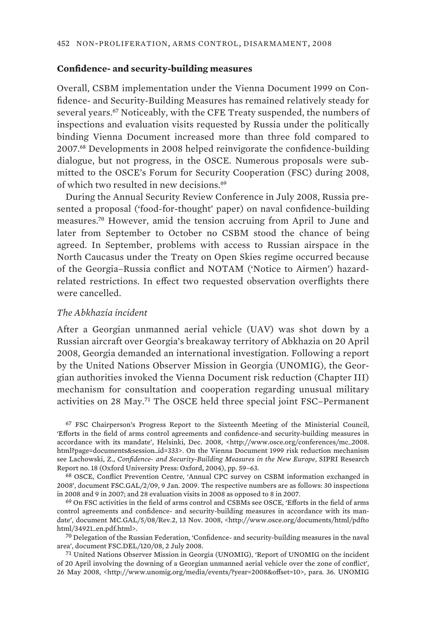# **Confidence- and security-building measures**

Overall, CSBM implementation under the Vienna Document 1999 on Confidence- and Security-Building Measures has remained relatively steady for several years.<sup>67</sup> Noticeably, with the CFE Treaty suspended, the numbers of inspections and evaluation visits requested by Russia under the politically binding Vienna Document increased more than three fold compared to 2007.<sup>68</sup> Developments in 2008 helped reinvigorate the confidence-building dialogue, but not progress, in the OSCE. Numerous proposals were submitted to the OSCE's Forum for Security Cooperation (FSC) during 2008, of which two resulted in new decisions.<sup>69</sup>

During the Annual Security Review Conference in July 2008, Russia presented a proposal ('food-for-thought' paper) on naval confidence-building measures.<sup>70</sup> However, amid the tension accruing from April to June and later from September to October no CSBM stood the chance of being agreed. In September, problems with access to Russian airspace in the North Caucasus under the Treaty on Open Skies regime occurred because of the Georgia–Russia conflict and NOTAM ('Notice to Airmen') hazardrelated restrictions. In effect two requested observation overflights there were cancelled.

#### *The Abkhazia incident*

After a Georgian unmanned aerial vehicle (UAV) was shot down by a Russian aircraft over Georgia's breakaway territory of Abkhazia on 20 April 2008, Georgia demanded an international investigation. Following a report by the United Nations Observer Mission in Georgia (UNOMIG), the Georgian authorities invoked the Vienna Document risk reduction (Chapter III) mechanism for consultation and cooperation regarding unusual military activities on 28 May.<sup>71</sup> The OSCE held three special joint FSC–Permanent

67 FSC Chairperson's Progress Report to the Sixteenth Meeting of the Ministerial Council, 'Efforts in the field of arms control agreements and confidence-and security-building measures in accordance with its mandate', Helsinki, Dec. 2008, <http://www.osce.org/conferences/mc\_2008. html?page=documents&session\_id=333>. On the Vienna Document 1999 risk reduction mechanism see Lachowski, Z., *Confidence- and Security-Building Measures in the New Europe*, SIPRI Research Report no. 18 (Oxford University Press: Oxford, 2004), pp. 59–63.

68 OSCE, Conflict Prevention Centre, 'Annual CPC survey on CSBM information exchanged in 2008', document FSC.GAL/2/09, 9 Jan. 2009. The respective numbers are as follows: 30 inspections in 2008 and 9 in 2007; and 28 evaluation visits in 2008 as opposed to 8 in 2007.

69 On FSC activities in the field of arms control and CSBMs see OSCE, 'Efforts in the field of arms control agreements and confidence- and security-building measures in accordance with its mandate', document MC.GAL/5/08/Rev.2, 13 Nov. 2008, <http://www.osce.org/documents/html/pdfto html/34921\_en.pdf.html>.

70 Delegation of the Russian Federation, 'Confidence- and security-building measures in the naval area', document FSC.DEL/120/08, 2 July 2008.

71 United Nations Observer Mission in Georgia (UNOMIG), 'Report of UNOMIG on the incident of 20 April involving the downing of a Georgian unmanned aerial vehicle over the zone of conflict', 26 May 2008, <http://www.unomig.org/media/events/?year=2008&offset=10>, para. 36. UNOMIG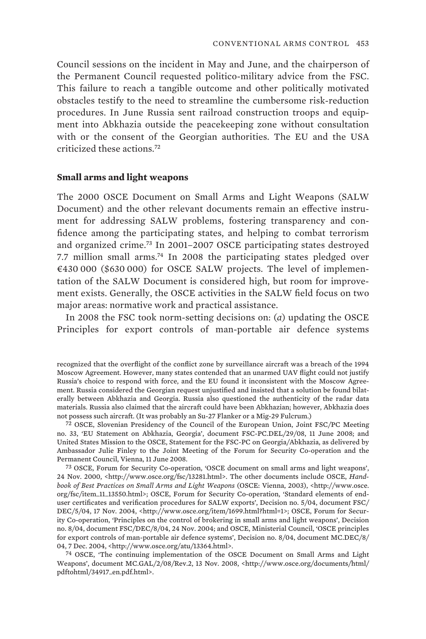Council sessions on the incident in May and June, and the chairperson of the Permanent Council requested politico-military advice from the FSC. This failure to reach a tangible outcome and other politically motivated obstacles testify to the need to streamline the cumbersome risk-reduction procedures. In June Russia sent railroad construction troops and equipment into Abkhazia outside the peacekeeping zone without consultation with or the consent of the Georgian authorities. The EU and the USA criticized these actions.<sup>72</sup>

#### **Small arms and light weapons**

The 2000 OSCE Document on Small Arms and Light Weapons (SALW Document) and the other relevant documents remain an effective instrument for addressing SALW problems, fostering transparency and confidence among the participating states, and helping to combat terrorism and organized crime.<sup>73</sup> In 2001–2007 OSCE participating states destroyed 7.7 million small arms.<sup>74</sup> In 2008 the participating states pledged over €430 000 (\$630 000) for OSCE SALW projects. The level of implementation of the SALW Document is considered high, but room for improvement exists. Generally, the OSCE activities in the SALW field focus on two major areas: normative work and practical assistance.

In 2008 the FSC took norm-setting decisions on: (*a*) updating the OSCE Principles for export controls of man-portable air defence systems

74 OSCE, 'The continuing implementation of the OSCE Document on Small Arms and Light Weapons', document MC.GAL/2/08/Rev.2, 13 Nov. 2008, <http://www.osce.org/documents/html/ pdftohtml/34917\_en.pdf.html>.

recognized that the overflight of the conflict zone by surveillance aircraft was a breach of the 1994 Moscow Agreement. However, many states contended that an unarmed UAV flight could not justify Russia's choice to respond with force, and the EU found it inconsistent with the Moscow Agreement. Russia considered the Georgian request unjustified and insisted that a solution be found bilaterally between Abkhazia and Georgia. Russia also questioned the authenticity of the radar data materials. Russia also claimed that the aircraft could have been Abkhazian; however, Abkhazia does not possess such aircraft. (It was probably an Su-27 Flanker or a Mig-29 Fulcrum.)

<sup>72</sup> OSCE, Slovenian Presidency of the Council of the European Union, Joint FSC/PC Meeting no. 33, 'EU Statement on Abkhazia, Georgia', document FSC-PC.DEL/29/08, 11 June 2008; and United States Mission to the OSCE, Statement for the FSC-PC on Georgia/Abkhazia, as delivered by Ambassador Julie Finley to the Joint Meeting of the Forum for Security Co-operation and the Permanent Council, Vienna, 11 June 2008.

<sup>73</sup> OSCE, Forum for Security Co-operation, 'OSCE document on small arms and light weapons', 24 Nov. 2000, <http://www.osce.org/fsc/13281.html>. The other documents include OSCE, *Handbook of Best Practices on Small Arms and Light Weapons* (OSCE: Vienna, 2003), <http://www.osce. org/fsc/item\_11\_13550.html>; OSCE, Forum for Security Co-operation, 'Standard elements of enduser certificates and verification procedures for SALW exports', Decision no. 5/04, document FSC/ DEC/5/04, 17 Nov. 2004, <http://www.osce.org/item/1699.html?html=1>; OSCE, Forum for Security Co-operation, 'Principles on the control of brokering in small arms and light weapons', Decision no. 8/04, document FSC/DEC/8/04, 24 Nov. 2004; and OSCE, Ministerial Council, 'OSCE principles for export controls of man-portable air defence systems', Decision no. 8/04, document MC.DEC/8/ 04, 7 Dec. 2004, <http://www.osce.org/atu/13364.html>.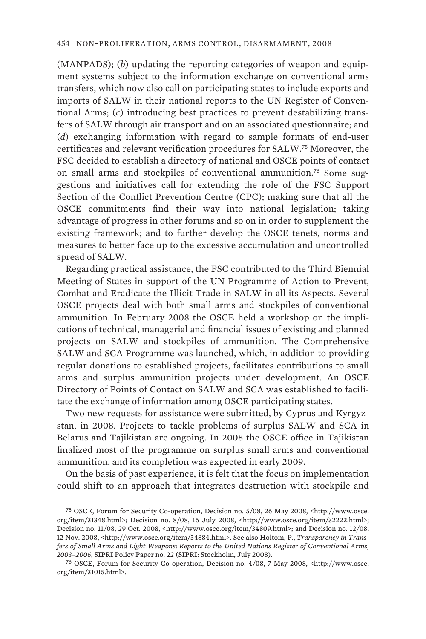(MANPADS); (*b*) updating the reporting categories of weapon and equipment systems subject to the information exchange on conventional arms transfers, which now also call on participating states to include exports and imports of SALW in their national reports to the UN Register of Conventional Arms; (*c*) introducing best practices to prevent destabilizing transfers of SALW through air transport and on an associated questionnaire; and (*d*) exchanging information with regard to sample formats of end-user certificates and relevant verification procedures for SALW.<sup>75</sup> Moreover, the FSC decided to establish a directory of national and OSCE points of contact on small arms and stockpiles of conventional ammunition.76 Some suggestions and initiatives call for extending the role of the FSC Support Section of the Conflict Prevention Centre (CPC); making sure that all the OSCE commitments find their way into national legislation; taking advantage of progress in other forums and so on in order to supplement the existing framework; and to further develop the OSCE tenets, norms and measures to better face up to the excessive accumulation and uncontrolled spread of SALW.

Regarding practical assistance, the FSC contributed to the Third Biennial Meeting of States in support of the UN Programme of Action to Prevent, Combat and Eradicate the Illicit Trade in SALW in all its Aspects. Several OSCE projects deal with both small arms and stockpiles of conventional ammunition. In February 2008 the OSCE held a workshop on the implications of technical, managerial and financial issues of existing and planned projects on SALW and stockpiles of ammunition. The Comprehensive SALW and SCA Programme was launched, which, in addition to providing regular donations to established projects, facilitates contributions to small arms and surplus ammunition projects under development. An OSCE Directory of Points of Contact on SALW and SCA was established to facilitate the exchange of information among OSCE participating states.

Two new requests for assistance were submitted, by Cyprus and Kyrgyzstan, in 2008. Projects to tackle problems of surplus SALW and SCA in Belarus and Tajikistan are ongoing. In 2008 the OSCE office in Tajikistan finalized most of the programme on surplus small arms and conventional ammunition, and its completion was expected in early 2009.

On the basis of past experience, it is felt that the focus on implementation could shift to an approach that integrates destruction with stockpile and

76 OSCE, Forum for Security Co-operation, Decision no. 4/08, 7 May 2008, <http://www.osce. org/item/31015.html>.

<sup>75</sup> OSCE, Forum for Security Co-operation, Decision no. 5/08, 26 May 2008, <http://www.osce. org/item/31348.html>; Decision no. 8/08, 16 July 2008, <http://www.osce.org/item/32222.html>; Decision no. 11/08, 29 Oct. 2008, <http://www.osce.org/item/34809.html>; and Decision no. 12/08, 12 Nov. 2008, <http://www.osce.org/item/34884.html>. See also Holtom, P., *Transparency in Transfers of Small Arms and Light Weapons: Reports to the United Nations Register of Conventional Arms, 2003–2006*, SIPRI Policy Paper no. 22 (SIPRI: Stockholm, July 2008).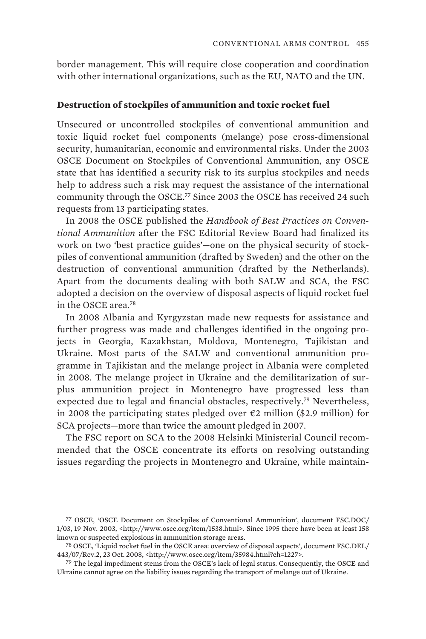border management. This will require close cooperation and coordination with other international organizations, such as the EU, NATO and the UN.

#### **Destruction of stockpiles of ammunition and toxic rocket fuel**

Unsecured or uncontrolled stockpiles of conventional ammunition and toxic liquid rocket fuel components (melange) pose cross-dimensional security, humanitarian, economic and environmental risks. Under the 2003 OSCE Document on Stockpiles of Conventional Ammunition, any OSCE state that has identified a security risk to its surplus stockpiles and needs help to address such a risk may request the assistance of the international community through the OSCE.<sup>77</sup> Since 2003 the OSCE has received 24 such requests from 13 participating states.

In 2008 the OSCE published the *Handbook of Best Practices on Conventional Ammunition* after the FSC Editorial Review Board had finalized its work on two 'best practice guides'—one on the physical security of stockpiles of conventional ammunition (drafted by Sweden) and the other on the destruction of conventional ammunition (drafted by the Netherlands). Apart from the documents dealing with both SALW and SCA, the FSC adopted a decision on the overview of disposal aspects of liquid rocket fuel in the OSCE area.<sup>78</sup>

In 2008 Albania and Kyrgyzstan made new requests for assistance and further progress was made and challenges identified in the ongoing projects in Georgia, Kazakhstan, Moldova, Montenegro, Tajikistan and Ukraine. Most parts of the SALW and conventional ammunition programme in Tajikistan and the melange project in Albania were completed in 2008. The melange project in Ukraine and the demilitarization of surplus ammunition project in Montenegro have progressed less than expected due to legal and financial obstacles, respectively.<sup>79</sup> Nevertheless, in 2008 the participating states pledged over  $\epsilon$ 2 million (\$2.9 million) for SCA projects—more than twice the amount pledged in 2007.

The FSC report on SCA to the 2008 Helsinki Ministerial Council recommended that the OSCE concentrate its efforts on resolving outstanding issues regarding the projects in Montenegro and Ukraine, while maintain-

<sup>77</sup> OSCE, 'OSCE Document on Stockpiles of Conventional Ammunition', document FSC.DOC/ 1/03, 19 Nov. 2003, <http://www.osce.org/item/1538.html>. Since 1995 there have been at least 158 known or suspected explosions in ammunition storage areas.

<sup>78</sup> OSCE, 'Liquid rocket fuel in the OSCE area: overview of disposal aspects', document FSC.DEL/ 443/07/Rev.2, 23 Oct. 2008, <http://www.osce.org/item/35984.html?ch=1227>.

<sup>79</sup> The legal impediment stems from the OSCE's lack of legal status. Consequently, the OSCE and Ukraine cannot agree on the liability issues regarding the transport of melange out of Ukraine.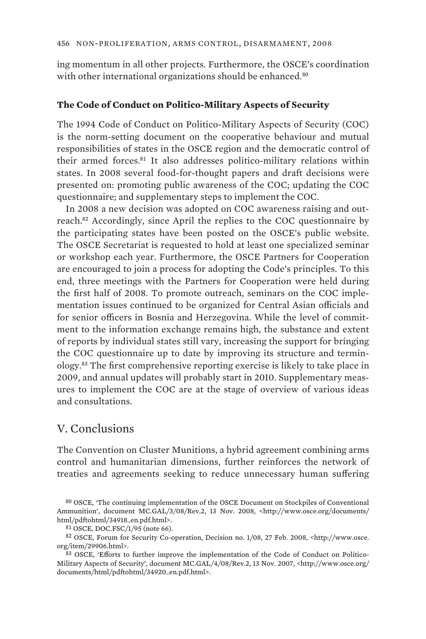ing momentum in all other projects. Furthermore, the OSCE's coordination with other international organizations should be enhanced.<sup>80</sup>

#### **The Code of Conduct on Politico-Military Aspects of Security**

The 1994 Code of Conduct on Politico-Military Aspects of Security (COC) is the norm-setting document on the cooperative behaviour and mutual responsibilities of states in the OSCE region and the democratic control of their armed forces.<sup>81</sup> It also addresses politico-military relations within states. In 2008 several food-for-thought papers and draft decisions were presented on: promoting public awareness of the COC; updating the COC questionnaire; and supplementary steps to implement the COC.

In 2008 a new decision was adopted on COC awareness raising and outreach.<sup>82</sup> Accordingly, since April the replies to the COC questionnaire by the participating states have been posted on the OSCE's public website. The OSCE Secretariat is requested to hold at least one specialized seminar or workshop each year. Furthermore, the OSCE Partners for Cooperation are encouraged to join a process for adopting the Code's principles. To this end, three meetings with the Partners for Cooperation were held during the first half of 2008. To promote outreach, seminars on the COC implementation issues continued to be organized for Central Asian officials and for senior officers in Bosnia and Herzegovina. While the level of commitment to the information exchange remains high, the substance and extent of reports by individual states still vary, increasing the support for bringing the COC questionnaire up to date by improving its structure and terminology.<sup>83</sup> The first comprehensive reporting exercise is likely to take place in 2009, and annual updates will probably start in 2010. Supplementary measures to implement the COC are at the stage of overview of various ideas and consultations.

# V. Conclusions

The Convention on Cluster Munitions, a hybrid agreement combining arms control and humanitarian dimensions, further reinforces the network of treaties and agreements seeking to reduce unnecessary human suffering

<sup>80</sup> OSCE, 'The continuing implementation of the OSCE Document on Stockpiles of Conventional Ammunition', document MC.GAL/3/08/Rev.2, 13 Nov. 2008, <http://www.osce.org/documents/ html/pdftohtml/34918\_en.pdf.html>.

<sup>81</sup> OSCE, DOC.FSC/1/95 (note 66).

<sup>82</sup> OSCE, Forum for Security Co-operation, Decision no. 1/08, 27 Feb. 2008, <http://www.osce. org/item/29906.html>.

<sup>83</sup> OSCE, 'Efforts to further improve the implementation of the Code of Conduct on Politico-Military Aspects of Security', document MC.GAL/4/08/Rev.2, 13 Nov. 2007, <http://www.osce.org/ documents/html/pdftohtml/34920\_en.pdf.html>.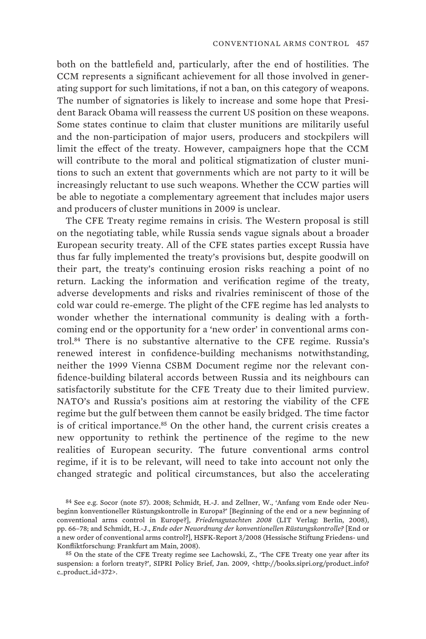both on the battlefield and, particularly, after the end of hostilities. The CCM represents a significant achievement for all those involved in generating support for such limitations, if not a ban, on this category of weapons. The number of signatories is likely to increase and some hope that President Barack Obama will reassess the current US position on these weapons. Some states continue to claim that cluster munitions are militarily useful and the non-participation of major users, producers and stockpilers will limit the effect of the treaty. However, campaigners hope that the CCM will contribute to the moral and political stigmatization of cluster munitions to such an extent that governments which are not party to it will be increasingly reluctant to use such weapons. Whether the CCW parties will be able to negotiate a complementary agreement that includes major users and producers of cluster munitions in 2009 is unclear.

The CFE Treaty regime remains in crisis. The Western proposal is still on the negotiating table, while Russia sends vague signals about a broader European security treaty. All of the CFE states parties except Russia have thus far fully implemented the treaty's provisions but, despite goodwill on their part, the treaty's continuing erosion risks reaching a point of no return. Lacking the information and verification regime of the treaty, adverse developments and risks and rivalries reminiscent of those of the cold war could re-emerge. The plight of the CFE regime has led analysts to wonder whether the international community is dealing with a forthcoming end or the opportunity for a 'new order' in conventional arms control.<sup>84</sup> There is no substantive alternative to the CFE regime. Russia's renewed interest in confidence-building mechanisms notwithstanding, neither the 1999 Vienna CSBM Document regime nor the relevant confidence-building bilateral accords between Russia and its neighbours can satisfactorily substitute for the CFE Treaty due to their limited purview. NATO's and Russia's positions aim at restoring the viability of the CFE regime but the gulf between them cannot be easily bridged. The time factor is of critical importance.<sup>85</sup> On the other hand, the current crisis creates a new opportunity to rethink the pertinence of the regime to the new realities of European security. The future conventional arms control regime, if it is to be relevant, will need to take into account not only the changed strategic and political circumstances, but also the accelerating

85 On the state of the CFE Treaty regime see Lachowski, Z., 'The CFE Treaty one year after its suspension: a forlorn treaty?', SIPRI Policy Brief, Jan. 2009, <http://books.sipri.org/product\_info? c\_product\_id=372>.

<sup>84</sup> See e.g. Socor (note 57). 2008; Schmidt, H.-J. and Zellner, W., 'Anfang vom Ende oder Neubeginn konventioneller Rüstungskontrolle in Europa?' [Beginning of the end or a new beginning of conventional arms control in Europe?], *Friedensgutachten 2008* (LIT Verlag: Berlin, 2008), pp. 66–78; and Schmidt, H.-J., *Ende oder Neuordnung der konventionellen Rüstungskontrolle?* [End or a new order of conventional arms control?], HSFK-Report 3/2008 (Hessische Stiftung Friedens- und Konfliktforschung: Frankfurt am Main, 2008).